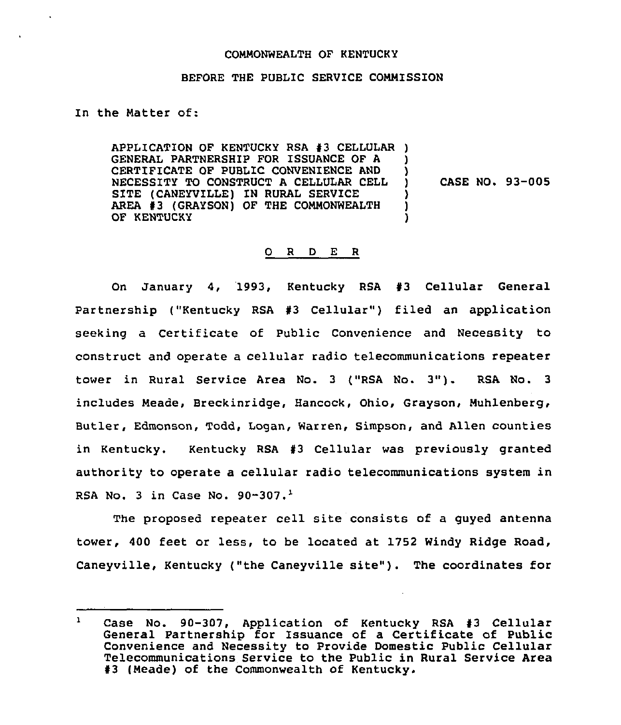## COMMONWEALTH OF KENTUCKY

## BEFORE THE PUBLIC SERVICE COMMISSION

In the Natter of:

APPLICATION OF KENTUCKY RSA #3 CELLULAR ) GENERAL PARTNERSHIP FOR ISSUANCE OF A CERTIFICATE OF PUBLIC CONVENIENCE AND NECESSITY TO CONSTRUCT A CELLULAR CELL SITE (CANEYVILLE) IN RURAL SERVICE AREA #3 (GRAYSON) OF THE COMMONWEALTH OF KENTUCKY  $\mathbf{I}$ ) ) CASE NO. 93-005 ) ) )

## 0 <sup>R</sup> <sup>D</sup> E R

On January 4, 1993, Kentucky RSA  $#3$  Cellular General Partnership ("Kentucky RSA  $#3$  Cellular") filed an application seeking a Certificate of Public Convenience and Necessity to construct and operate a cellular radio telecommunications repeater tower in Rural Service Area No. <sup>3</sup> ("RSA No. 3"). RSA No. <sup>3</sup> includes Neade, Breckinridge, Hancock, Ohio, Grayson, Nuhlenberg, Butler, Edmonson, Todd, Logan, Warren, Simpson, and Allen counties in Kentucky. Kentucky RSA #3 Cellular was previously granted authority to operate a cellular radio telecommunications system in RSA No. 3 in Case No.  $90-307$ .<sup>1</sup>

The proposed repeater cell site consists of a guyed antenna tower, 400 feet or less, to be located at 1752 Windy Ridge Road, Caneyville, Kentucky ("the Caneyville site"). The coordinates for

 $\mathbf{1}$ Case No. 90-307, Application of Kentucky RSA #3 Cellular General Partnership for Issuance of a Certificate of Public Convenience and Necessity to Provide Domestic Public Cellular Telecommunications Service to the Public in Rural Service Area<br>#3 (Meade) of the Commonwealth of Kentucky.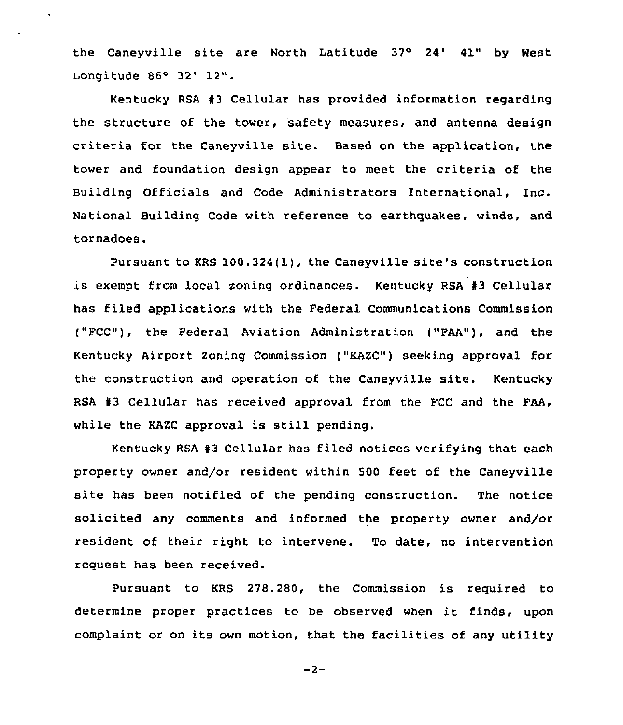the Caneyville site are North Latitude 37° 24' 41" by West Longitude 86° 32' 12".

Kentucky RSA 43 Cellular has provided information regarding the structure of the tower, safety measures, and antenna design criteria for the Caneyville site. Based on the application, the tower and foundation design appear to meet the criteria of the Building Officials and Code Administrators International, Inc. National Building Code with reference to earthquakes, winds, and tornadoes.

Pursuant to KRS 100.324(1), the Caneyville site's construction is exempt from local soning ordinances. Kentucky RSA 43 Cellular has filed applications with the Federal Communications Commission ("FCC"), the Federal Aviation Administration ("FAA"), and the Kentucky Airport Zoning Commission ("KAZC") seeking approval for the construction and operation of the Caneyville site. Kentucky RSA  $#3$  Cellular has received approval from the FCC and the FAA, while the KAZC approval is still pending.

Kentucky RSA #3 Cellular has filed notices verifying that each property owner and/or resident within 500 feet of the Caneyville site has been notified of the pending construction. The notice solicited any comments and informed the property owner and/or resident of their right to intervene. To date, no intervention request has been received.

Pursuant to KRS 278.280, the Commission is required to determine proper practices to be observed when it finds, upon complaint or on its own motion, that the facilities of any utility

 $-2-$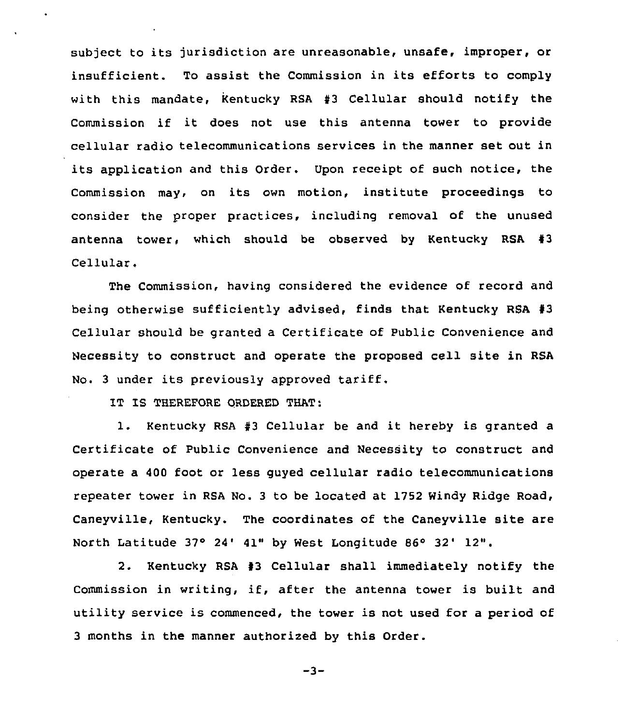subject to its jurisdiction are unreasonable, unsafe, improper, or insufficient. To assist the Commission in its efforts to comply with this mandate, Kentucky RSA  $#3$  Cellular should notify the Commission if it does not use this antenna tower to provide cellular radio telecommunications services in the manner set out in its application and this Order. Upon receipt of such notice, the Commission may, on its own motion, institute proceedings to consider the proper practices, including removal of the unused antenna tower, which should be observed by Kentucky RSA  $#3$ Cellular.

The Commission, having considered the evidence of record and being otherwise sufficiently advised, finds that Kentucky RSA #3 Cellular should be granted a Certificate of Public Convenience and Necessity to construct and operate the proposed cell site in RSA No. <sup>3</sup> under its previously approved tariff.

IT IS THEREPORE ORDERED THAT:

1. Kentucky RSA #3 Cellular be and it hereby is granted a Certificate of Public Convenience and Necessity to construct and operate a 400 foot or less guyed cellular radio telecommunications repeater tower in RSA No. 3 to be located at 1752 Windy Ridge Road, Caneyville, Kentucky. The coordinates of the Caneyville site are North Latitude  $37^\circ$  24' 41" by West Longitude 86° 32' 12".

2. Kentucky RSA #3 Cellular shall immediately notify the Commission in writing, if, after the antenna tower is built and utility service is commenced, the tower is not used for a period of 3 months in the manner authorized by this Order.

$$
-3-
$$